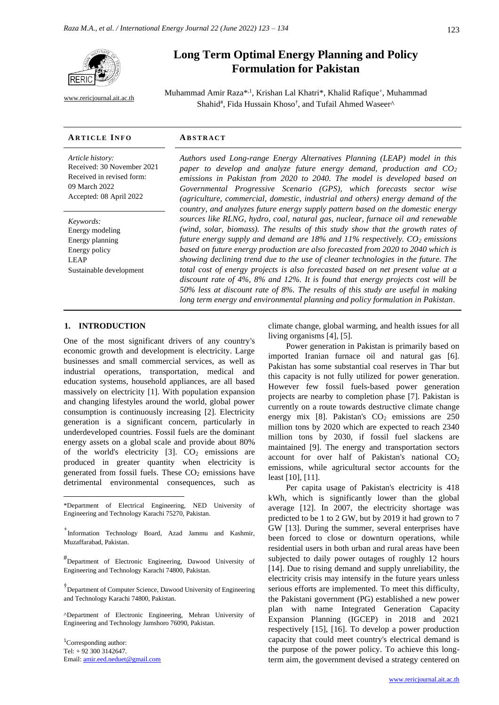

[www.rericjournal.ait.ac.th](file:///C:/Reric-Data/JOURNAL/Accepted%20Paper/Users/RERIC/Vol.11%20No.2/Formatted/For%20Print/www.rericjournal.ait.ac.th)

# **Long Term Optimal Energy Planning and Policy Formulation for Pakistan**

Muhammad Amir Raza<sup>\*, 1</sup>, Krishan Lal Khatri\*, Khalid Rafique<sup>+</sup>, Muhammad Shahid<sup>#</sup>, Fida Hussain Khoso<sup>†</sup>, and Tufail Ahmed Waseer^

#### **AR T I C L E I N F O AB S T R A C T**

*Article history:* Received: 30 November 2021 Received in revised form: 09 March 2022 Accepted: 08 April 2022

*Keywords:* Energy modeling Energy planning Energy policy LEAP Sustainable development

*Authors used Long-range Energy Alternatives Planning (LEAP) model in this paper to develop and analyze future energy demand, production and CO<sup>2</sup> emissions in Pakistan from 2020 to 2040. The model is developed based on Governmental Progressive Scenario (GPS), which forecasts sector wise (agriculture, commercial, domestic, industrial and others) energy demand of the country, and analyzes future energy supply pattern based on the domestic energy sources like RLNG, hydro, coal, natural gas, nuclear, furnace oil and renewable (wind, solar, biomass). The results of this study show that the growth rates of future energy supply and demand are 18% and 11% respectively. CO<sup>2</sup> emissions based on future energy production are also forecasted from 2020 to 2040 which is showing declining trend due to the use of cleaner technologies in the future. The total cost of energy projects is also forecasted based on net present value at a discount rate of 4%, 8% and 12%. It is found that energy projects cost will be 50% less at discount rate of 8%. The results of this study are useful in making long term energy and environmental planning and policy formulation in Pakistan.*

## 1. **INTRODUCTION**

One of the most significant drivers of any country's economic growth and development is electricity. Large businesses and small commercial services, as well as industrial operations, transportation, medical and education systems, household appliances, are all based massively on electricity [1]. With population expansion and changing lifestyles around the world, global power consumption is continuously increasing [2]. Electricity generation is a significant concern, particularly in underdeveloped countries. Fossil fuels are the dominant energy assets on a global scale and provide about 80% of the world's electricity  $[3]$ .  $CO<sub>2</sub>$  emissions are produced in greater quantity when electricity is generated from fossil fuels. These  $CO<sub>2</sub>$  emissions have detrimental environmental consequences, such as

<sup>1</sup>Corresponding author: Tel: + 92 300 3142647. Email: [amir.eed.neduet@gmail.com](mailto:amir.eed.neduet@gmail.com) climate change, global warming, and health issues for all living organisms [4], [5].

Power generation in Pakistan is primarily based on imported Iranian furnace oil and natural gas [6]. Pakistan has some substantial coal reserves in Thar but this capacity is not fully utilized for power generation. However few fossil fuels-based power generation projects are nearby to completion phase [7]. Pakistan is currently on a route towards destructive climate change energy mix [8]. Pakistan's  $CO<sub>2</sub>$  emissions are 250 million tons by 2020 which are expected to reach 2340 million tons by 2030, if fossil fuel slackens are maintained [9]. The energy and transportation sectors account for over half of Pakistan's national  $CO<sub>2</sub>$ emissions, while agricultural sector accounts for the least [10], [11].

Per capita usage of Pakistan's electricity is 418 kWh, which is significantly lower than the global average [12]. In 2007, the electricity shortage was predicted to be 1 to 2 GW, but by 2019 it had grown to 7 GW [13]. During the summer, several enterprises have been forced to close or downturn operations, while residential users in both urban and rural areas have been subjected to daily power outages of roughly 12 hours [14]. Due to rising demand and supply unreliability, the electricity crisis may intensify in the future years unless serious efforts are implemented. To meet this difficulty, the Pakistani government (PG) established a new power plan with name Integrated Generation Capacity Expansion Planning (IGCEP) in 2018 and 2021 respectively [15], [16]. To develop a power production capacity that could meet country's electrical demand is the purpose of the power policy. To achieve this longterm aim, the government devised a strategy centered on

<sup>\*</sup>Department of Electrical Engineering, NED University of Engineering and Technology Karachi 75270, Pakistan.

<sup>+</sup> Information Technology Board, Azad Jammu and Kashmir, Muzaffarabad, Pakistan.

<sup>#</sup> Department of Electronic Engineering, Dawood University of Engineering and Technology Karachi 74800, Pakistan.

<sup>†</sup> Department of Computer Science, Dawood University of Engineering and Technology Karachi 74800, Pakistan.

<sup>^</sup>Department of Electronic Engineering, Mehran University of Engineering and Technology Jamshoro 76090, Pakistan.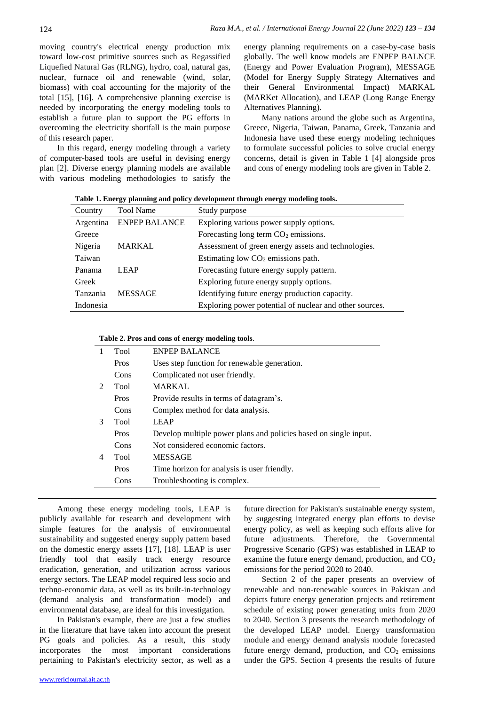moving country's electrical energy production mix toward low-cost primitive sources such as Regassified Liquefied Natural Gas (RLNG), hydro, coal, natural gas, nuclear, furnace oil and renewable (wind, solar, biomass) with coal accounting for the majority of the total [15], [16]. A comprehensive planning exercise is needed by incorporating the energy modeling tools to establish a future plan to support the PG efforts in overcoming the electricity shortfall is the main purpose of this research paper.

In this regard, energy modeling through a variety of computer-based tools are useful in devising energy plan [2]. Diverse energy planning models are available with various modeling methodologies to satisfy the energy planning requirements on a case-by-case basis globally. The well know models are ENPEP BALNCE (Energy and Power Evaluation Program), MESSAGE (Model for Energy Supply Strategy Alternatives and their General Environmental Impact) MARKAL (MARKet Allocation), and LEAP (Long Range Energy Alternatives Planning).

Many nations around the globe such as Argentina, Greece, Nigeria, Taiwan, Panama, Greek, Tanzania and Indonesia have used these energy modeling techniques to formulate successful policies to solve crucial energy concerns, detail is given in Table 1 [4] alongside pros and cons of energy modeling tools are given in Table 2.

| Country   | <b>Tool Name</b>     | Study purpose                                           |
|-----------|----------------------|---------------------------------------------------------|
| Argentina | <b>ENPEP BALANCE</b> | Exploring various power supply options.                 |
| Greece    |                      | Forecasting long term $CO2$ emissions.                  |
| Nigeria   | <b>MARKAL</b>        | Assessment of green energy assets and technologies.     |
| Taiwan    |                      | Estimating low $CO2$ emissions path.                    |
| Panama    | <b>LEAP</b>          | Forecasting future energy supply pattern.               |
| Greek     |                      | Exploring future energy supply options.                 |
| Tanzania  | <b>MESSAGE</b>       | Identifying future energy production capacity.          |
| Indonesia |                      | Exploring power potential of nuclear and other sources. |

**Table 1. Energy planning and policy development through energy modeling tools.**

#### **Table 2. Pros and cons of energy modeling tools**.

| 1              | <b>Tool</b> | <b>ENPEP BALANCE</b>                                             |
|----------------|-------------|------------------------------------------------------------------|
|                | Pros        | Uses step function for renewable generation.                     |
|                | Cons        | Complicated not user friendly.                                   |
| $\mathfrak{D}$ | Tool        | <b>MARKAL</b>                                                    |
|                | Pros        | Provide results in terms of datagram's.                          |
|                | Cons        | Complex method for data analysis.                                |
| 3              | Tool        | <b>LEAP</b>                                                      |
|                | Pros        | Develop multiple power plans and policies based on single input. |
|                | Cons        | Not considered economic factors.                                 |
| 4              | <b>Tool</b> | <b>MESSAGE</b>                                                   |
|                | Pros        | Time horizon for analysis is user friendly.                      |
|                | Cons        | Troubleshooting is complex.                                      |

Among these energy modeling tools, LEAP is publicly available for research and development with simple features for the analysis of environmental sustainability and suggested energy supply pattern based on the domestic energy assets [17], [18]. LEAP is user friendly tool that easily track energy resource eradication, generation, and utilization across various energy sectors. The LEAP model required less socio and techno-economic data, as well as its built-in-technology (demand analysis and transformation model) and environmental database, are ideal for this investigation.

In Pakistan's example, there are just a few studies in the literature that have taken into account the present PG goals and policies. As a result, this study incorporates the most important considerations pertaining to Pakistan's electricity sector, as well as a future direction for Pakistan's sustainable energy system, by suggesting integrated energy plan efforts to devise energy policy, as well as keeping such efforts alive for future adjustments. Therefore, the Governmental Progressive Scenario (GPS) was established in LEAP to examine the future energy demand, production, and  $CO<sub>2</sub>$ emissions for the period 2020 to 2040.

Section 2 of the paper presents an overview of renewable and non-renewable sources in Pakistan and depicts future energy generation projects and retirement schedule of existing power generating units from 2020 to 2040. Section 3 presents the research methodology of the developed LEAP model. Energy transformation module and energy demand analysis module forecasted future energy demand, production, and  $CO<sub>2</sub>$  emissions under the GPS. Section 4 presents the results of future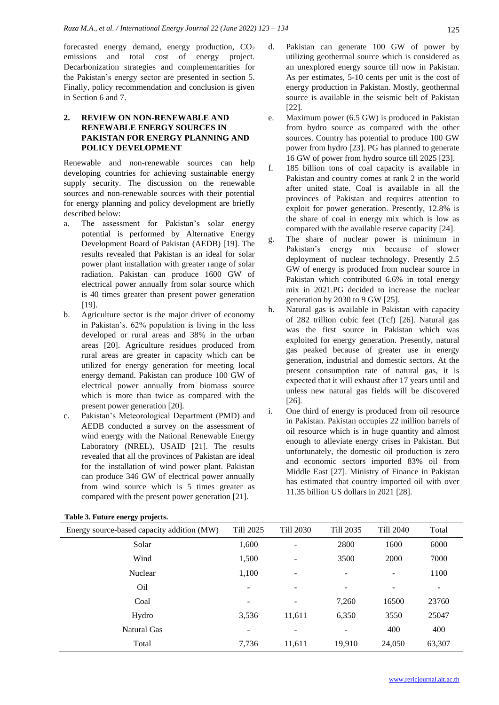forecasted energy demand, energy production, CO<sub>2</sub> emissions and total cost of energy project. Decarbonization strategies and complementarities for the Pakistan's energy sector are presented in section 5. Finally, policy recommendation and conclusion is given in Section 6 and 7.

## **2. REVIEW ON NON-RENEWABLE AND RENEWABLE ENERGY SOURCES IN PAKISTAN FOR ENERGY PLANNING AND POLICY DEVELOPMENT**

Renewable and non-renewable sources can help developing countries for achieving sustainable energy supply security. The discussion on the renewable sources and non-renewable sources with their potential for energy planning and policy development are briefly described below:

- a. The assessment for Pakistan's solar energy potential is performed by Alternative Energy Development Board of Pakistan (AEDB) [19]. The results revealed that Pakistan is an ideal for solar power plant installation with greater range of solar radiation. Pakistan can produce 1600 GW of electrical power annually from solar source which is 40 times greater than present power generation [19].
- b. Agriculture sector is the major driver of economy in Pakistan's. 62% population is living in the less developed or rural areas and 38% in the urban areas [20]. Agriculture residues produced from rural areas are greater in capacity which can be utilized for energy generation for meeting local energy demand. Pakistan can produce 100 GW of electrical power annually from biomass source which is more than twice as compared with the present power generation [20].
- c. Pakistan's Meteorological Department (PMD) and AEDB conducted a survey on the assessment of wind energy with the National Renewable Energy Laboratory (NREL), USAID [21]. The results revealed that all the provinces of Pakistan are ideal for the installation of wind power plant. Pakistan can produce 346 GW of electrical power annually from wind source which is 5 times greater as compared with the present power generation [21].

| d. | Pakistan can generate 100 GW of power by             |
|----|------------------------------------------------------|
|    | utilizing geothermal source which is considered as   |
|    | an unexplored energy source till now in Pakistan.    |
|    | As per estimates, 5-10 cents per unit is the cost of |
|    | energy production in Pakistan. Mostly, geothermal    |
|    | source is available in the seismic belt of Pakistan  |
|    | [22].                                                |

- e. Maximum power (6.5 GW) is produced in Pakistan from hydro source as compared with the other sources. Country has potential to produce 100 GW power from hydro [23]. PG has planned to generate 16 GW of power from hydro source till 2025 [23].
- f. 185 billion tons of coal capacity is available in Pakistan and country comes at rank 2 in the world after united state. Coal is available in all the provinces of Pakistan and requires attention to exploit for power generation. Presently, 12.8% is the share of coal in energy mix which is low as compared with the available reserve capacity [24].
- g. The share of nuclear power is minimum in Pakistan's energy mix because of slower deployment of nuclear technology. Presently 2.5 GW of energy is produced from nuclear source in Pakistan which contributed 6.6% in total energy mix in 2021.PG decided to increase the nuclear generation by 2030 to 9 GW [25].
- h. Natural gas is available in Pakistan with capacity of 282 trillion cubic feet (Tcf) [26]. Natural gas was the first source in Pakistan which was exploited for energy generation. Presently, natural gas peaked because of greater use in energy generation, industrial and domestic sectors. At the present consumption rate of natural gas, it is expected that it will exhaust after 17 years until and unless new natural gas fields will be discovered [26].
- i. One third of energy is produced from oil resource in Pakistan. Pakistan occupies 22 million barrels of oil resource which is in huge quantity and almost enough to alleviate energy crises in Pakistan. But unfortunately, the domestic oil production is zero and economic sectors imported 83% oil from Middle East [27]. Ministry of Finance in Pakistan has estimated that country imported oil with over 11.35 billion US dollars in 2021 [28].

| Energy source-based capacity addition (MW) | Till 2025      | Till 2030                | Till 2035                | <b>Till 2040</b> | Total                        |
|--------------------------------------------|----------------|--------------------------|--------------------------|------------------|------------------------------|
| Solar                                      | 1,600          | $\overline{\phantom{0}}$ | 2800                     | 1600             | 6000                         |
| Wind                                       | 1,500          | $\overline{\phantom{a}}$ | 3500                     | 2000             | 7000                         |
| Nuclear                                    | 1,100          | ÷                        | $\overline{\phantom{0}}$ | -                | 1100                         |
| O <sub>il</sub>                            | $\blacksquare$ |                          | ۰                        |                  | $\qquad \qquad \blacksquare$ |
| Coal                                       | -              |                          | 7,260                    | 16500            | 23760                        |
| Hydro                                      | 3,536          | 11,611                   | 6,350                    | 3550             | 25047                        |
| Natural Gas                                | -              |                          |                          | 400              | 400                          |
| Total                                      | 7,736          | 11,611                   | 19,910                   | 24,050           | 63,307                       |

**Table 3. Future energy projects.**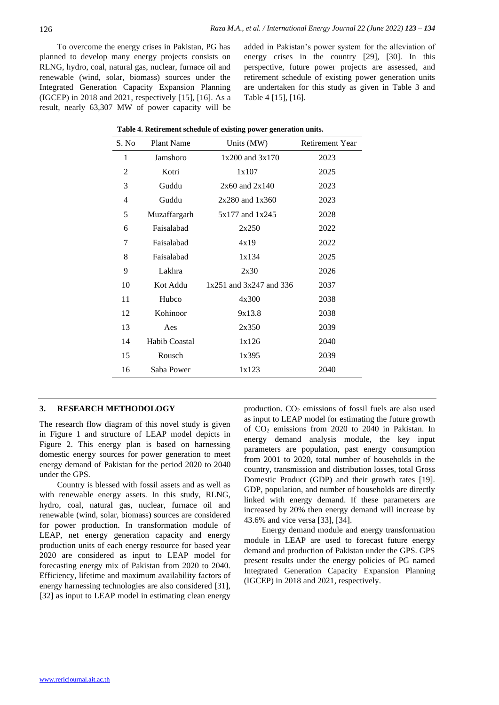To overcome the energy crises in Pakistan, PG has planned to develop many energy projects consists on RLNG, hydro, coal, natural gas, nuclear, furnace oil and renewable (wind, solar, biomass) sources under the Integrated Generation Capacity Expansion Planning (IGCEP) in 2018 and 2021, respectively [15], [16]. As a result, nearly 63,307 MW of power capacity will be

added in Pakistan's power system for the alleviation of energy crises in the country [29], [30]. In this perspective, future power projects are assessed, and retirement schedule of existing power generation units are undertaken for this study as given in Table 3 and Table 4 [15], [16].

| S. No          | Plant Name           | Units (MW)                  | Retirement Year |
|----------------|----------------------|-----------------------------|-----------------|
| 1              | Jamshoro             | 1x200 and 3x170             | 2023            |
| $\overline{2}$ | Kotri                | 1x107                       | 2025            |
| 3              | Guddu                | $2x60$ and $2x140$          | 2023            |
| $\overline{4}$ | Guddu                | $2x280$ and $1x360$         | 2023            |
| 5              | Muzaffargarh         | 5x177 and 1x245             | 2028            |
| 6              | Faisalabad           | 2x250                       | 2022            |
| 7              | Faisalabad           | 4x19                        | 2022            |
| 8              | Faisalabad           | 1x134                       | 2025            |
| 9              | Lakhra               | 2x30                        | 2026            |
| 10             | Kot Addu             | $1x251$ and $3x247$ and 336 | 2037            |
| 11             | Hubco                | 4x300                       | 2038            |
| 12             | Kohinoor             | 9x13.8                      | 2038            |
| 13             | Aes                  | 2x350                       | 2039            |
| 14             | <b>Habib Coastal</b> | 1x126                       | 2040            |
| 15             | Rousch               | 1x395                       | 2039            |
| 16             | Saba Power           | 1x123                       | 2040            |
|                |                      |                             |                 |

| Table 4. Retirement schedule of existing power generation units. |  |  |  |
|------------------------------------------------------------------|--|--|--|
|                                                                  |  |  |  |

## **3. RESEARCH METHODOLOGY**

The research flow diagram of this novel study is given in Figure 1 and structure of LEAP model depicts in Figure 2. This energy plan is based on harnessing domestic energy sources for power generation to meet energy demand of Pakistan for the period 2020 to 2040 under the GPS.

Country is blessed with fossil assets and as well as with renewable energy assets. In this study, RLNG, hydro, coal, natural gas, nuclear, furnace oil and renewable (wind, solar, biomass) sources are considered for power production. In transformation module of LEAP, net energy generation capacity and energy production units of each energy resource for based year 2020 are considered as input to LEAP model for forecasting energy mix of Pakistan from 2020 to 2040. Efficiency, lifetime and maximum availability factors of energy harnessing technologies are also considered [31], [32] as input to LEAP model in estimating clean energy

production.  $CO<sub>2</sub>$  emissions of fossil fuels are also used as input to LEAP model for estimating the future growth of CO<sup>2</sup> emissions from 2020 to 2040 in Pakistan. In energy demand analysis module, the key input parameters are population, past energy consumption from 2001 to 2020, total number of households in the country, transmission and distribution losses, total Gross Domestic Product (GDP) and their growth rates [19]. GDP, population, and number of households are directly linked with energy demand. If these parameters are increased by 20% then energy demand will increase by 43.6% and vice versa [33], [34].

Energy demand module and energy transformation module in LEAP are used to forecast future energy demand and production of Pakistan under the GPS. GPS present results under the energy policies of PG named Integrated Generation Capacity Expansion Planning (IGCEP) in 2018 and 2021, respectively.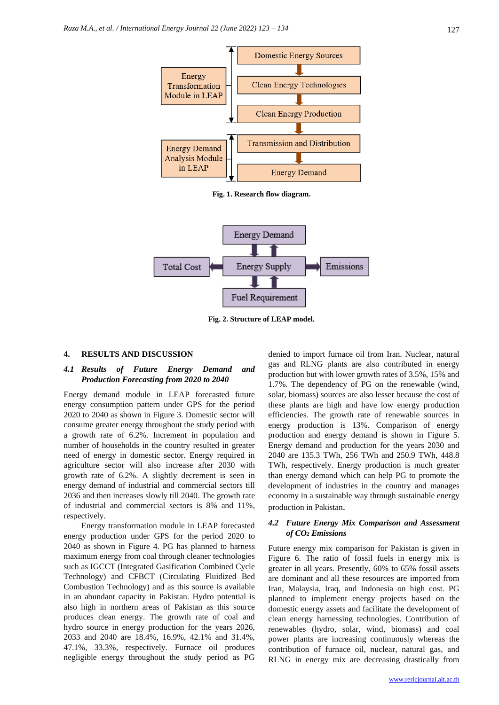

**Fig. 1. Research flow diagram.**



**Fig. 2. Structure of LEAP model.**

#### **4. RESULTS AND DISCUSSION**

### *4.1 Results of Future Energy Demand and Production Forecasting from 2020 to 2040*

Energy demand module in LEAP forecasted future energy consumption pattern under GPS for the period 2020 to 2040 as shown in Figure 3. Domestic sector will consume greater energy throughout the study period with a growth rate of 6.2%. Increment in population and number of households in the country resulted in greater need of energy in domestic sector. Energy required in agriculture sector will also increase after 2030 with growth rate of 6.2%. A slightly decrement is seen in energy demand of industrial and commercial sectors till 2036 and then increases slowly till 2040. The growth rate of industrial and commercial sectors is 8% and 11%, respectively.

Energy transformation module in LEAP forecasted energy production under GPS for the period 2020 to 2040 as shown in Figure 4. PG has planned to harness maximum energy from coal through cleaner technologies such as IGCCT (Integrated Gasification Combined Cycle Technology) and CFBCT (Circulating Fluidized Bed Combustion Technology) and as this source is available in an abundant capacity in Pakistan. Hydro potential is also high in northern areas of Pakistan as this source produces clean energy. The growth rate of coal and hydro source in energy production for the years 2026, 2033 and 2040 are 18.4%, 16.9%, 42.1% and 31.4%, 47.1%, 33.3%, respectively. Furnace oil produces negligible energy throughout the study period as PG denied to import furnace oil from Iran. Nuclear, natural gas and RLNG plants are also contributed in energy production but with lower growth rates of 3.5%, 15% and 1.7%. The dependency of PG on the renewable (wind, solar, biomass) sources are also lesser because the cost of these plants are high and have low energy production efficiencies. The growth rate of renewable sources in energy production is 13%. Comparison of energy production and energy demand is shown in Figure 5. Energy demand and production for the years 2030 and 2040 are 135.3 TWh, 256 TWh and 250.9 TWh, 448.8 TWh, respectively. Energy production is much greater than energy demand which can help PG to promote the development of industries in the country and manages economy in a sustainable way through sustainable energy production in Pakistan.

#### *4.2 Future Energy Mix Comparison and Assessment of CO<sup>2</sup> Emissions*

Future energy mix comparison for Pakistan is given in Figure 6. The ratio of fossil fuels in energy mix is greater in all years. Presently, 60% to 65% fossil assets are dominant and all these resources are imported from Iran, Malaysia, Iraq, and Indonesia on high cost. PG planned to implement energy projects based on the domestic energy assets and facilitate the development of clean energy harnessing technologies. Contribution of renewables (hydro, solar, wind, biomass) and coal power plants are increasing continuously whereas the contribution of furnace oil, nuclear, natural gas, and RLNG in energy mix are decreasing drastically from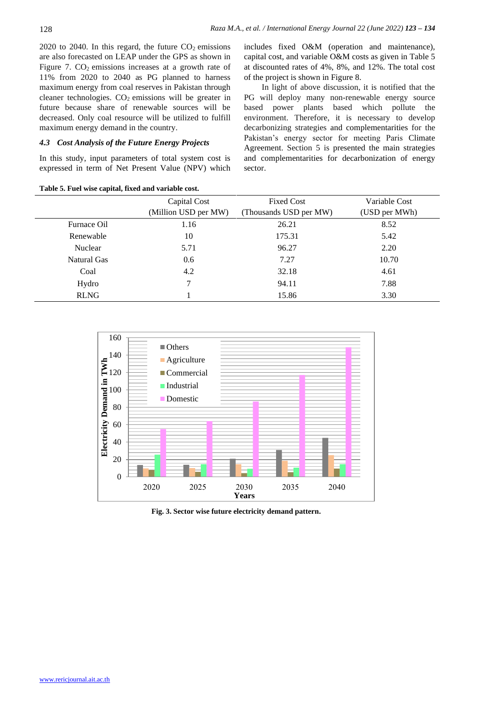2020 to 2040. In this regard, the future  $CO<sub>2</sub>$  emissions are also forecasted on LEAP under the GPS as shown in Figure 7.  $CO<sub>2</sub>$  emissions increases at a growth rate of 11% from 2020 to 2040 as PG planned to harness maximum energy from coal reserves in Pakistan through cleaner technologies.  $CO<sub>2</sub>$  emissions will be greater in future because share of renewable sources will be decreased. Only coal resource will be utilized to fulfill maximum energy demand in the country.

#### *4.3 Cost Analysis of the Future Energy Projects*

**Table 5. Fuel wise capital, fixed and variable cost.**

In this study, input parameters of total system cost is expressed in term of Net Present Value (NPV) which includes fixed O&M (operation and maintenance), capital cost, and variable O&M costs as given in Table 5 at discounted rates of 4%, 8%, and 12%. The total cost of the project is shown in Figure 8.

In light of above discussion, it is notified that the PG will deploy many non-renewable energy source based power plants based which pollute the environment. Therefore, it is necessary to develop decarbonizing strategies and complementarities for the Pakistan's energy sector for meeting Paris Climate Agreement. Section 5 is presented the main strategies and complementarities for decarbonization of energy sector.

|             | Capital Cost<br>(Million USD per MW) | <b>Fixed Cost</b><br>(Thousands USD per MW) | Variable Cost<br>(USD per MWh) |
|-------------|--------------------------------------|---------------------------------------------|--------------------------------|
| Furnace Oil | 1.16                                 | 26.21                                       | 8.52                           |
| Renewable   | 10                                   | 175.31                                      | 5.42                           |
| Nuclear     | 5.71                                 | 96.27                                       | 2.20                           |
| Natural Gas | 0.6                                  | 7.27                                        | 10.70                          |
| Coal        | 4.2                                  | 32.18                                       | 4.61                           |
| Hydro       | 7                                    | 94.11                                       | 7.88                           |
| <b>RLNG</b> |                                      | 15.86                                       | 3.30                           |



**Fig. 3. Sector wise future electricity demand pattern.**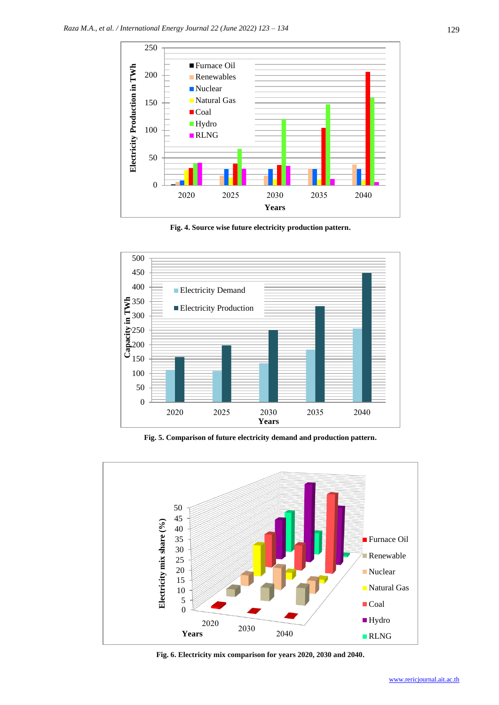

**Fig. 4. Source wise future electricity production pattern.**



**Fig. 5. Comparison of future electricity demand and production pattern.**



**Fig. 6. Electricity mix comparison for years 2020, 2030 and 2040.**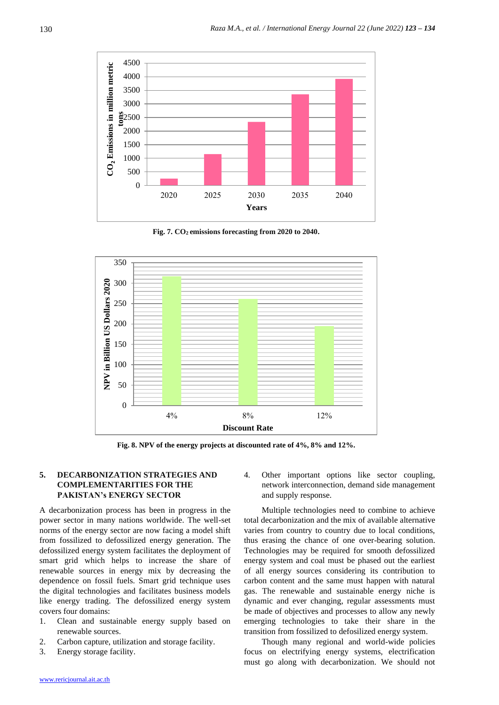

**Fig. 7. CO2 emissions forecasting from 2020 to 2040.**



**Fig. 8. NPV of the energy projects at discounted rate of 4%, 8% and 12%.**

## **5. DECARBONIZATION STRATEGIES AND COMPLEMENTARITIES FOR THE PAKISTAN's ENERGY SECTOR**

A decarbonization process has been in progress in the power sector in many nations worldwide. The well-set norms of the energy sector are now facing a model shift from fossilized to defossilized energy generation. The defossilized energy system facilitates the deployment of smart grid which helps to increase the share of renewable sources in energy mix by decreasing the dependence on fossil fuels. Smart grid technique uses the digital technologies and facilitates business models like energy trading. The defossilized energy system covers four domains:

- 1. Clean and sustainable energy supply based on renewable sources.
- 2. Carbon capture, utilization and storage facility.
- 3. Energy storage facility.

4. Other important options like sector coupling, network interconnection, demand side management and supply response.

Multiple technologies need to combine to achieve total decarbonization and the mix of available alternative varies from country to country due to local conditions, thus erasing the chance of one over-bearing solution. Technologies may be required for smooth defossilized energy system and coal must be phased out the earliest of all energy sources considering its contribution to carbon content and the same must happen with natural gas. The renewable and sustainable energy niche is dynamic and ever changing, regular assessments must be made of objectives and processes to allow any newly emerging technologies to take their share in the transition from fossilized to defosilized energy system.

Though many regional and world-wide policies focus on electrifying energy systems, electrification must go along with decarbonization. We should not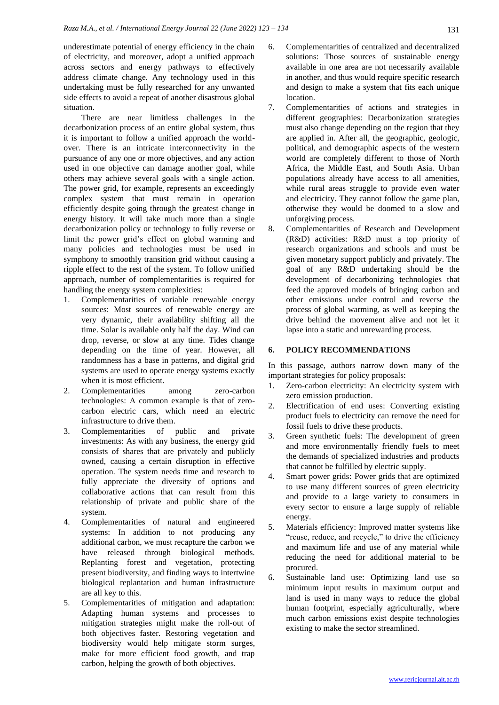underestimate potential of energy efficiency in the chain of electricity, and moreover, adopt a unified approach across sectors and energy pathways to effectively address climate change. Any technology used in this undertaking must be fully researched for any unwanted side effects to avoid a repeat of another disastrous global situation.

There are near limitless challenges in the decarbonization process of an entire global system, thus it is important to follow a unified approach the worldover. There is an intricate interconnectivity in the pursuance of any one or more objectives, and any action used in one objective can damage another goal, while others may achieve several goals with a single action. The power grid, for example, represents an exceedingly complex system that must remain in operation efficiently despite going through the greatest change in energy history. It will take much more than a single decarbonization policy or technology to fully reverse or limit the power grid's effect on global warming and many policies and technologies must be used in symphony to smoothly transition grid without causing a ripple effect to the rest of the system. To follow unified approach, number of complementarities is required for handling the energy system complexities:

- 1. Complementarities of variable renewable energy sources: Most sources of renewable energy are very dynamic, their availability shifting all the time. Solar is available only half the day. Wind can drop, reverse, or slow at any time. Tides change depending on the time of year. However, all randomness has a base in patterns, and digital grid systems are used to operate energy systems exactly when it is most efficient.
- 2. Complementarities among zero-carbon technologies: A common example is that of zerocarbon electric cars, which need an electric infrastructure to drive them.
- 3. Complementarities of public and private investments: As with any business, the energy grid consists of shares that are privately and publicly owned, causing a certain disruption in effective operation. The system needs time and research to fully appreciate the diversity of options and collaborative actions that can result from this relationship of private and public share of the system.
- 4. Complementarities of natural and engineered systems: In addition to not producing any additional carbon, we must recapture the carbon we have released through biological methods. Replanting forest and vegetation, protecting present biodiversity, and finding ways to intertwine biological replantation and human infrastructure are all key to this.
- 5. Complementarities of mitigation and adaptation: Adapting human systems and processes to mitigation strategies might make the roll-out of both objectives faster. Restoring vegetation and biodiversity would help mitigate storm surges, make for more efficient food growth, and trap carbon, helping the growth of both objectives.
- 6. Complementarities of centralized and decentralized solutions: Those sources of sustainable energy available in one area are not necessarily available in another, and thus would require specific research and design to make a system that fits each unique location.
- 7. Complementarities of actions and strategies in different geographies: Decarbonization strategies must also change depending on the region that they are applied in. After all, the geographic, geologic, political, and demographic aspects of the western world are completely different to those of North Africa, the Middle East, and South Asia. Urban populations already have access to all amenities, while rural areas struggle to provide even water and electricity. They cannot follow the game plan, otherwise they would be doomed to a slow and unforgiving process.
- 8. Complementarities of Research and Development (R&D) activities: R&D must a top priority of research organizations and schools and must be given monetary support publicly and privately. The goal of any R&D undertaking should be the development of decarbonizing technologies that feed the approved models of bringing carbon and other emissions under control and reverse the process of global warming, as well as keeping the drive behind the movement alive and not let it lapse into a static and unrewarding process.

#### **6. POLICY RECOMMENDATIONS**

In this passage, authors narrow down many of the important strategies for policy proposals:

- 1. Zero-carbon electricity: An electricity system with zero emission production.
- 2. Electrification of end uses: Converting existing product fuels to electricity can remove the need for fossil fuels to drive these products.
- 3. Green synthetic fuels: The development of green and more environmentally friendly fuels to meet the demands of specialized industries and products that cannot be fulfilled by electric supply.
- 4. Smart power grids: Power grids that are optimized to use many different sources of green electricity and provide to a large variety to consumers in every sector to ensure a large supply of reliable energy.
- 5. Materials efficiency: Improved matter systems like "reuse, reduce, and recycle," to drive the efficiency and maximum life and use of any material while reducing the need for additional material to be procured.
- 6. Sustainable land use: Optimizing land use so minimum input results in maximum output and land is used in many ways to reduce the global human footprint, especially agriculturally, where much carbon emissions exist despite technologies existing to make the sector streamlined.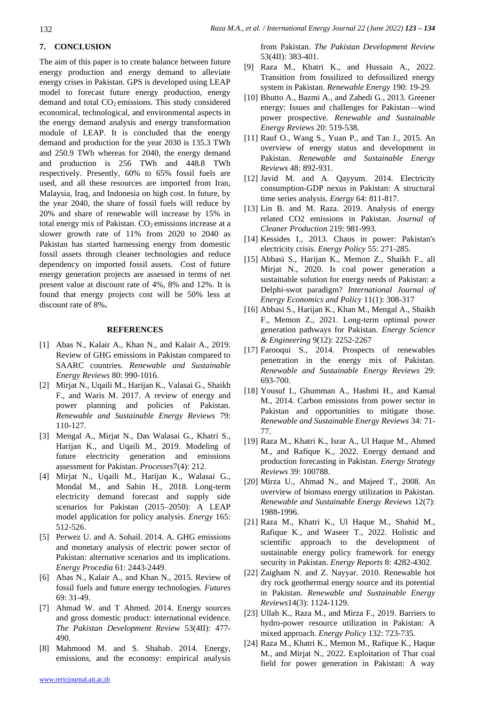# **7. CONCLUSION**

The aim of this paper is to create balance between future energy production and energy demand to alleviate energy crises in Pakistan. GPS is developed using LEAP model to forecast future energy production, energy demand and total  $CO<sub>2</sub>$  emissions. This study considered economical, technological, and environmental aspects in the energy demand analysis and energy transformation module of LEAP. It is concluded that the energy demand and production for the year 2030 is 135.3 TWh and 250.9 TWh whereas for 2040, the energy demand and production is 256 TWh and 448.8 TWh respectively. Presently, 60% to 65% fossil fuels are used, and all these resources are imported from Iran, Malaysia, Iraq, and Indonesia on high cost. In future, by the year 2040, the share of fossil fuels will reduce by 20% and share of renewable will increase by 15% in total energy mix of Pakistan. CO<sub>2</sub> emissions increase at a slower growth rate of 11% from 2020 to 2040 as Pakistan has started harnessing energy from domestic fossil assets through cleaner technologies and reduce dependency on imported fossil assets. Cost of future energy generation projects are assessed in terms of net present value at discount rate of 4%, 8% and 12%. It is found that energy projects cost will be 50% less at discount rate of 8%**.**

#### **REFERENCES**

- [1] Abas N., Kalair A., Khan N., and Kalair A., 2019. Review of GHG emissions in Pakistan compared to SAARC countries. *Renewable and Sustainable Energy Reviews* 80: 990-1016.
- [2] Mirjat N., Uqaili M., Harijan K., Valasai G., Shaikh F., and Waris M. 2017. A review of energy and power planning and policies of Pakistan. *Renewable and Sustainable Energy Reviews* 79: 110-127.
- [3] Mengal A., Mirjat N., Das Walasai G., Khatri S., Harijan K., and Uqaili M., 2019. Modeling of future electricity generation and emissions assessment for Pakistan. *Processes*7(4): 212.
- [4] Mirjat N., Uqaili M., Harijan K., Walasai G., Mondal M., and Sahin H., 2018. Long-term electricity demand forecast and supply side scenarios for Pakistan (2015–2050): A LEAP model application for policy analysis. *Energy* 165: 512-526.
- [5] Perwez U. and A. Sohail. 2014. A. GHG emissions and monetary analysis of electric power sector of Pakistan: alternative scenarios and its implications. *Energy Procedia* 61: 2443-2449.
- [6] Abas N., Kalair A., and Khan N., 2015. Review of fossil fuels and future energy technologies. *Futures* 69: 31-49.
- [7] Ahmad W. and T Ahmed. 2014. Energy sources and gross domestic product: international evidence. *The Pakistan Development Review* 53(4II): 477- 490.
- [8] Mahmood M. and S. Shahab. 2014. Energy, emissions, and the economy: empirical analysis

[www.rericjournal.ait.ac.th](http://www.rericjournal.ait.ac.th/)

from Pakistan. *The Pakistan Development Review* 53(4II): 383-401.

- [9] Raza M., Khatri K., and Hussain A., 2022. Transition from fossilized to defossilized energy system in Pakistan. *Renewable Energy* 190: 19-29.
- [10] Bhutto A., Bazmi A., and Zahedi G., 2013. Greener energy: Issues and challenges for Pakistan—wind power prospective. *Renewable and Sustainable Energy Reviews* 20: 519-538.
- [11] Rauf O., Wang S., Yuan P., and Tan J., 2015. An overview of energy status and development in Pakistan. *Renewable and Sustainable Energy Reviews* 48: 892-931.
- [12] Javid M. and A. Qayyum. 2014. Electricity consumption-GDP nexus in Pakistan: A structural time series analysis. *Energy* 64: 811-817.
- [13] Lin B. and M. Raza. 2019. Analysis of energy related CO2 emissions in Pakistan. *Journal of Cleaner Production* 219: 981-993.
- [14] Kessides I., 2013. Chaos in power: Pakistan's electricity crisis. *Energy Policy* 55: 271-285.
- [15] Abbasi S., Harijan K., Memon Z., Shaikh F., all Mirjat N., 2020. Is coal power generation a sustainable solution for energy needs of Pakistan: a Delphi-swot paradigm? *International Journal of Energy Economics and Policy* 11(1): 308-317
- [16] Abbasi S., Harijan K., Khan M., Mengal A., Shaikh F., Memon Z., 2021. Long‐term optimal power generation pathways for Pakistan. *Energy Science & Engineering* 9(12): 2252-2267
- [17] Farooqui S., 2014. Prospects of renewables penetration in the energy mix of Pakistan. *Renewable and Sustainable Energy Reviews* 29: 693-700.
- [18] Yousuf I., Ghumman A., Hashmi H., and Kamal M., 2014. Carbon emissions from power sector in Pakistan and opportunities to mitigate those. *Renewable and Sustainable Energy Reviews* 34: 71- 77.
- [19] Raza M., Khatri K., Israr A., Ul Haque M., Ahmed M., and Rafique K., 2022. Energy demand and production forecasting in Pakistan. *Energy Strategy Reviews* 39: 100788.
- [20] Mirza U., Ahmad N., and Majeed T., 2008. An overview of biomass energy utilization in Pakistan. *Renewable and Sustainable Energy Reviews* 12(7): 1988-1996.
- [21] Raza M., Khatri K., Ul Haque M., Shahid M., Rafique K., and Waseer T., 2022. Holistic and scientific approach to the development of sustainable energy policy framework for energy security in Pakistan. *Energy Reports* 8: 4282-4302.
- [22] Zaigham N. and Z. Nayyar. 2010. Renewable hot dry rock geothermal energy source and its potential in Pakistan. *Renewable and Sustainable Energy Reviews*14(3): 1124-1129.
- [23] Ullah K., Raza M., and Mirza F., 2019. Barriers to hydro-power resource utilization in Pakistan: A mixed approach. *Energy Policy* 132: 723-735.
- [24] Raza M., Khatri K., Memon M., Rafique K., Haque M., and Mirjat N., 2022. Exploitation of Thar coal field for power generation in Pakistan: A way